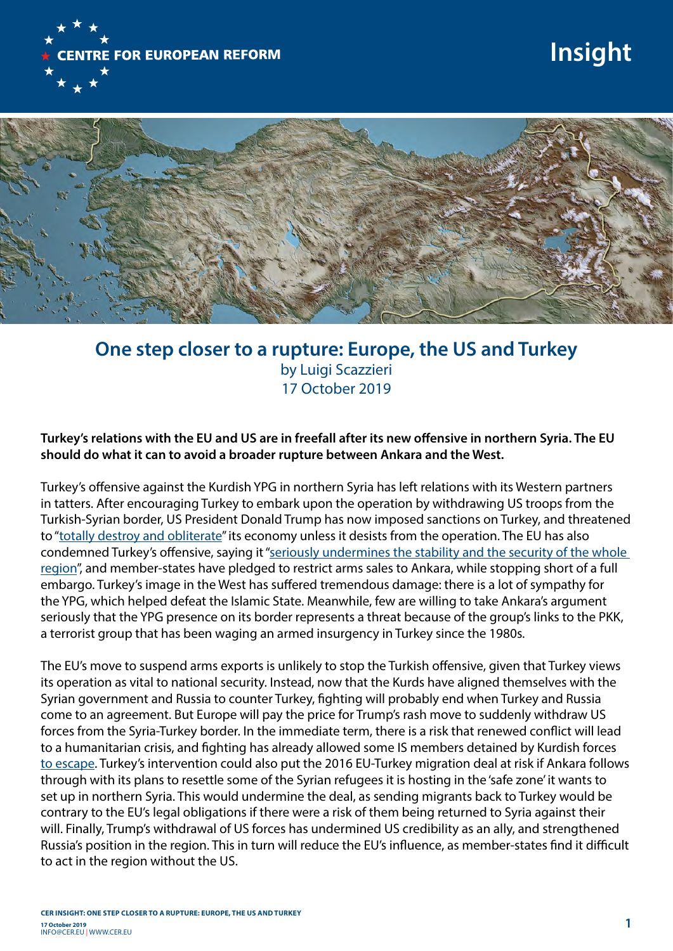

## **Insight**



## **One step closer to a rupture: Europe, the US and Turkey**  by Luigi Scazzieri 17 October 2019

## **Turkey's relations with the EU and US are in freefall after its new offensive in northern Syria. The EU should do what it can to avoid a broader rupture between Ankara and the West.**

Turkey's offensive against the Kurdish YPG in northern Syria has left relations with its Western partners in tatters. After encouraging Turkey to embark upon the operation by withdrawing US troops from the Turkish-Syrian border, US President Donald Trump has now imposed sanctions on Turkey, and threatened to ["totally destroy and obliterate](https://www.bloomberg.com/news/articles/2019-10-07/trump-issues-warning-to-turkey-after-green-light-for-incursion)" its economy unless it desists from the operation. The EU has also condemned Turkey's offensive, saying it ["seriously undermines the stability and the security of the whole](https://www.consilium.europa.eu/en/press/press-releases/2019/10/14/council-conclusions-on-north-east-syria/)  [region](https://www.consilium.europa.eu/en/press/press-releases/2019/10/14/council-conclusions-on-north-east-syria/)", and member-states have pledged to restrict arms sales to Ankara, while stopping short of a full embargo. Turkey's image in the West has suffered tremendous damage: there is a lot of sympathy for the YPG, which helped defeat the Islamic State. Meanwhile, few are willing to take Ankara's argument seriously that the YPG presence on its border represents a threat because of the group's links to the PKK, a terrorist group that has been waging an armed insurgency in Turkey since the 1980s.

The EU's move to suspend arms exports is unlikely to stop the Turkish offensive, given that Turkey views its operation as vital to national security. Instead, now that the Kurds have aligned themselves with the Syrian government and Russia to counter Turkey, fighting will probably end when Turkey and Russia come to an agreement. But Europe will pay the price for Trump's rash move to suddenly withdraw US forces from the Syria-Turkey border. In the immediate term, there is a risk that renewed conflict will lead to a humanitarian crisis, and fighting has already allowed some IS members detained by Kurdish forces [to escape.](https://www.theguardian.com/world/2019/oct/13/kurds-say-785-isis-affiliates-have-escaped-camp-after-turkish-shelling) Turkey's intervention could also put the 2016 EU-Turkey migration deal at risk if Ankara follows through with its plans to resettle some of the Syrian refugees it is hosting in the 'safe zone' it wants to set up in northern Syria. This would undermine the deal, as sending migrants back to Turkey would be contrary to the EU's legal obligations if there were a risk of them being returned to Syria against their will. Finally, Trump's withdrawal of US forces has undermined US credibility as an ally, and strengthened Russia's position in the region. This in turn will reduce the EU's influence, as member-states find it difficult to act in the region without the US.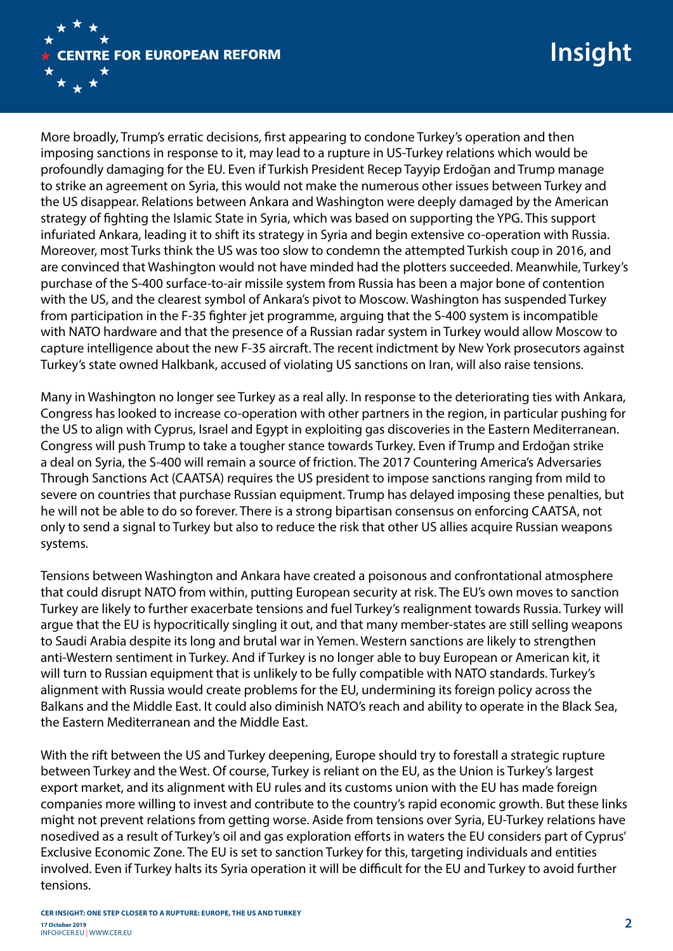

More broadly, Trump's erratic decisions, first appearing to condone Turkey's operation and then imposing sanctions in response to it, may lead to a rupture in US-Turkey relations which would be profoundly damaging for the EU. Even if Turkish President Recep Tayyip Erdoğan and Trump manage to strike an agreement on Syria, this would not make the numerous other issues between Turkey and the US disappear. Relations between Ankara and Washington were deeply damaged by the American strategy of fighting the Islamic State in Syria, which was based on supporting the YPG. This support infuriated Ankara, leading it to shift its strategy in Syria and begin extensive co-operation with Russia. Moreover, most Turks think the US was too slow to condemn the attempted Turkish coup in 2016, and are convinced that Washington would not have minded had the plotters succeeded. Meanwhile, Turkey's purchase of the S-400 surface-to-air missile system from Russia has been a major bone of contention with the US, and the clearest symbol of Ankara's pivot to Moscow. Washington has suspended Turkey from participation in the F-35 fighter jet programme, arguing that the S-400 system is incompatible with NATO hardware and that the presence of a Russian radar system in Turkey would allow Moscow to capture intelligence about the new F-35 aircraft. The recent indictment by New York prosecutors against Turkey's state owned Halkbank, accused of violating US sanctions on Iran, will also raise tensions.

Many in Washington no longer see Turkey as a real ally. In response to the deteriorating ties with Ankara, Congress has looked to increase co-operation with other partners in the region, in particular pushing for the US to align with Cyprus, Israel and Egypt in exploiting gas discoveries in the Eastern Mediterranean. Congress will push Trump to take a tougher stance towards Turkey. Even if Trump and Erdoğan strike a deal on Syria, the S-400 will remain a source of friction. The 2017 Countering America's Adversaries Through Sanctions Act (CAATSA) requires the US president to impose sanctions ranging from mild to severe on countries that purchase Russian equipment. Trump has delayed imposing these penalties, but he will not be able to do so forever. There is a strong bipartisan consensus on enforcing CAATSA, not only to send a signal to Turkey but also to reduce the risk that other US allies acquire Russian weapons systems.

Tensions between Washington and Ankara have created a poisonous and confrontational atmosphere that could disrupt NATO from within, putting European security at risk. The EU's own moves to sanction Turkey are likely to further exacerbate tensions and fuel Turkey's realignment towards Russia. Turkey will argue that the EU is hypocritically singling it out, and that many member-states are still selling weapons to Saudi Arabia despite its long and brutal war in Yemen. Western sanctions are likely to strengthen anti-Western sentiment in Turkey. And if Turkey is no longer able to buy European or American kit, it will turn to Russian equipment that is unlikely to be fully compatible with NATO standards. Turkey's alignment with Russia would create problems for the EU, undermining its foreign policy across the Balkans and the Middle East. It could also diminish NATO's reach and ability to operate in the Black Sea, the Eastern Mediterranean and the Middle East.

With the rift between the US and Turkey deepening, Europe should try to forestall a strategic rupture between Turkey and the West. Of course, Turkey is reliant on the EU, as the Union is Turkey's largest export market, and its alignment with EU rules and its customs union with the EU has made foreign companies more willing to invest and contribute to the country's rapid economic growth. But these links might not prevent relations from getting worse. Aside from tensions over Syria, EU-Turkey relations have nosedived as a result of Turkey's oil and gas exploration efforts in waters the EU considers part of Cyprus' Exclusive Economic Zone. The EU is set to sanction Turkey for this, targeting individuals and entities involved. Even if Turkey halts its Syria operation it will be difficult for the EU and Turkey to avoid further tensions.